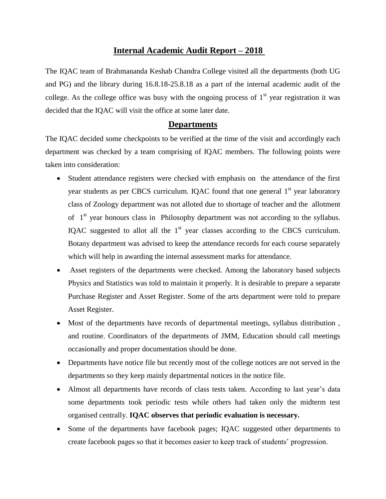## **Internal Academic Audit Report – 2018**

The IQAC team of Brahmananda Keshab Chandra College visited all the departments (both UG and PG) and the library during 16.8.18-25.8.18 as a part of the internal academic audit of the college. As the college office was busy with the ongoing process of  $1<sup>st</sup>$  year registration it was decided that the IQAC will visit the office at some later date.

### **Departments**

The IQAC decided some checkpoints to be verified at the time of the visit and accordingly each department was checked by a team comprising of IQAC members. The following points were taken into consideration:

- Student attendance registers were checked with emphasis on the attendance of the first year students as per CBCS curriculum. IQAC found that one general  $1<sup>st</sup>$  year laboratory class of Zoology department was not alloted due to shortage of teacher and the allotment of  $1<sup>st</sup>$  year honours class in Philosophy department was not according to the syllabus. IQAC suggested to allot all the  $1<sup>st</sup>$  year classes according to the CBCS curriculum. Botany department was advised to keep the attendance records for each course separately which will help in awarding the internal assessment marks for attendance.
- Asset registers of the departments were checked. Among the laboratory based subjects Physics and Statistics was told to maintain it properly. It is desirable to prepare a separate Purchase Register and Asset Register. Some of the arts department were told to prepare Asset Register.
- Most of the departments have records of departmental meetings, syllabus distribution, and routine. Coordinators of the departments of JMM, Education should call meetings occasionally and proper documentation should be done.
- Departments have notice file but recently most of the college notices are not served in the departments so they keep mainly departmental notices in the notice file.
- Almost all departments have records of class tests taken. According to last year's data some departments took periodic tests while others had taken only the midterm test organised centrally. **IQAC observes that periodic evaluation is necessary.**
- Some of the departments have facebook pages; IQAC suggested other departments to create facebook pages so that it becomes easier to keep track of students' progression.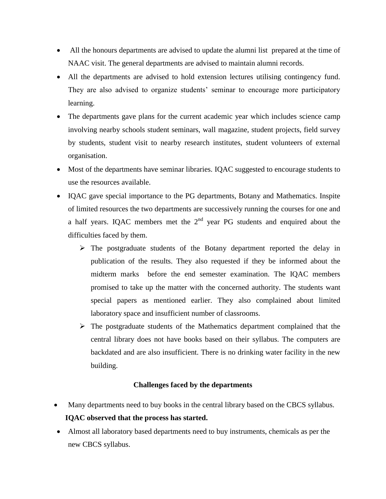- All the honours departments are advised to update the alumni list prepared at the time of NAAC visit. The general departments are advised to maintain alumni records.
- All the departments are advised to hold extension lectures utilising contingency fund. They are also advised to organize students' seminar to encourage more participatory learning.
- The departments gave plans for the current academic year which includes science camp involving nearby schools student seminars, wall magazine, student projects, field survey by students, student visit to nearby research institutes, student volunteers of external organisation.
- Most of the departments have seminar libraries. IQAC suggested to encourage students to use the resources available.
- IQAC gave special importance to the PG departments, Botany and Mathematics. Inspite of limited resources the two departments are successively running the courses for one and a half years. IQAC members met the  $2<sup>nd</sup>$  year PG students and enquired about the difficulties faced by them.
	- $\triangleright$  The postgraduate students of the Botany department reported the delay in publication of the results. They also requested if they be informed about the midterm marks before the end semester examination. The IQAC members promised to take up the matter with the concerned authority. The students want special papers as mentioned earlier. They also complained about limited laboratory space and insufficient number of classrooms.
	- $\triangleright$  The postgraduate students of the Mathematics department complained that the central library does not have books based on their syllabus. The computers are backdated and are also insufficient. There is no drinking water facility in the new building.

### **Challenges faced by the departments**

- Many departments need to buy books in the central library based on the CBCS syllabus.  **IQAC observed that the process has started.**
- Almost all laboratory based departments need to buy instruments, chemicals as per the new CBCS syllabus.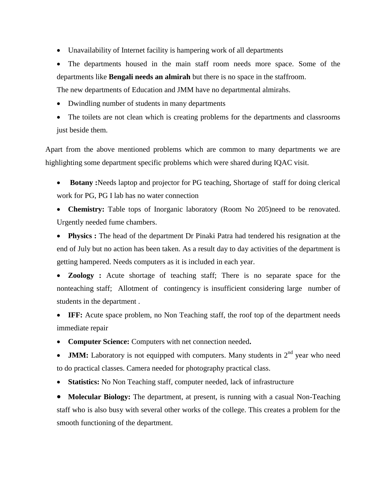- Unavailability of Internet facility is hampering work of all departments
- The departments housed in the main staff room needs more space. Some of the departments like **Bengali needs an almirah** but there is no space in the staffroom.

The new departments of Education and JMM have no departmental almirahs.

- Dwindling number of students in many departments
- The toilets are not clean which is creating problems for the departments and classrooms just beside them.

Apart from the above mentioned problems which are common to many departments we are highlighting some department specific problems which were shared during IQAC visit.

- **Botany :**Needs laptop and projector for PG teaching, Shortage of staff for doing clerical work for PG, PG I lab has no water connection
- **Chemistry:** Table tops of Inorganic laboratory (Room No 205)need to be renovated. Urgently needed fume chambers.
- Physics : The head of the department Dr Pinaki Patra had tendered his resignation at the end of July but no action has been taken. As a result day to day activities of the department is getting hampered. Needs computers as it is included in each year.
- **Zoology :** Acute shortage of teaching staff; There is no separate space for the nonteaching staff; Allotment of contingency is insufficient considering large number of students in the department .
- **IFF:** Acute space problem, no Non Teaching staff, the roof top of the department needs immediate repair
- **Computer Science:** Computers with net connection needed**.**
- **JMM:** Laboratory is not equipped with computers. Many students in 2<sup>nd</sup> year who need to do practical classes. Camera needed for photography practical class.
- **Statistics:** No Non Teaching staff, computer needed, lack of infrastructure

 **Molecular Biology:** The department, at present, is running with a casual Non-Teaching staff who is also busy with several other works of the college. This creates a problem for the smooth functioning of the department.